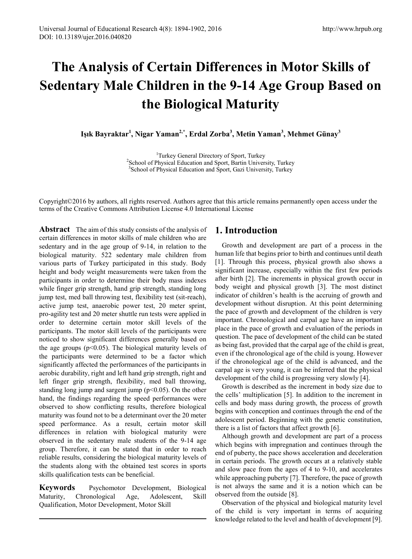# **The Analysis of Certain Differences in Motor Skills of Sedentary Male Children in the 9-14 Age Group Based on the Biological Maturity**

**Işık Bayraktar<sup>1</sup> , Nigar Yaman2,\*, Erdal Zorba3 , Metin Yaman3 , Mehmet Günay<sup>3</sup>**

<sup>1</sup>Turkey General Directory of Sport, Turkey<sup>2</sup>School of Physical Education and Sport, Bartin Univer <sup>2</sup>School of Physical Education and Sport, Bartin University, Turkey <sup>3</sup> School of Physical Education and Sport, Gazi University, Turkey

Copyright©2016 by authors, all rights reserved. Authors agree that this article remains permanently open access under the terms of the Creative Commons Attribution License 4.0 International License

**Abstract** The aim of this study consists of the analysis of certain differences in motor skills of male children who are sedentary and in the age group of 9-14, in relation to the biological maturity. 522 sedentary male children from various parts of Turkey participated in this study. Body height and body weight measurements were taken from the participants in order to determine their body mass indexes while finger grip strength, hand grip strength, standing long jump test, med ball throwing test, flexibility test (sit-reach), active jump test, anaerobic power test, 20 meter sprint, pro-agility test and 20 meter shuttle run tests were applied in order to determine certain motor skill levels of the participants. The motor skill levels of the participants were noticed to show significant differences generally based on the age groups  $(p<0.05)$ . The biological maturity levels of the participants were determined to be a factor which significantly affected the performances of the participants in aerobic durability, right and left hand grip strength, right and left finger grip strength, flexibility, med ball throwing, standing long jump and sargent jump (p<0.05). On the other hand, the findings regarding the speed performances were observed to show conflicting results, therefore biological maturity was found not to be a determinant over the 20 meter speed performance. As a result, certain motor skill differences in relation with biological maturity were observed in the sedentary male students of the 9-14 age group. Therefore, it can be stated that in order to reach reliable results, considering the biological maturity levels of the students along with the obtained test scores in sports skills qualification tests can be beneficial.

**Keywords** Psychomotor Development, Biological Maturity, Chronological Age, Adolescent, Skill Qualification, Motor Development, Motor Skill

## **1. Introduction**

Growth and development are part of a process in the human life that begins prior to birth and continues until death [1]. Through this process, physical growth also shows a significant increase, especially within the first few periods after birth [2]. The increments in physical growth occur in body weight and physical growth [3]. The most distinct indicator of children's health is the accruing of growth and development without disruption. At this point determining the pace of growth and development of the children is very important. Chronological and carpal age have an important place in the pace of growth and evaluation of the periods in question. The pace of development of the child can be stated as being fast, provided that the carpal age of the child is great, even if the chronological age of the child is young. However if the chronological age of the child is advanced, and the carpal age is very young, it can be inferred that the physical development of the child is progressing very slowly [4].

Growth is described as the increment in body size due to the cells' multiplication [5]. In addition to the increment in cells and body mass during growth, the process of growth begins with conception and continues through the end of the adolescent period. Beginning with the genetic constitution, there is a list of factors that affect growth [6].

Although growth and development are part of a process which begins with impregnation and continues through the end of puberty, the pace shows acceleration and deceleration in certain periods. The growth occurs at a relatively stable and slow pace from the ages of 4 to 9-10, and accelerates while approaching puberty [7]. Therefore, the pace of growth is not always the same and it is a notion which can be observed from the outside [8].

Observation of the physical and biological maturity level of the child is very important in terms of acquiring knowledge related to the level and health of development [9].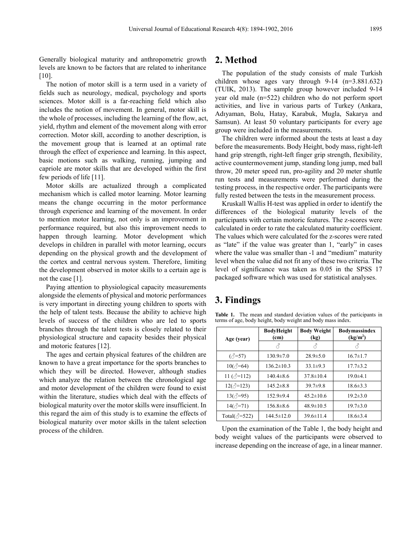Generally biological maturity and anthropometric growth levels are known to be factors that are related to inheritance [10].

The notion of motor skill is a term used in a variety of fields such as neurology, medical, psychology and sports sciences. Motor skill is a far-reaching field which also includes the notion of movement. In general, motor skill is the whole of processes, including the learning of the flow, act, yield, rhythm and element of the movement along with error correction. Motor skill, according to another description, is the movement group that is learned at an optimal rate through the effect of experience and learning. In this aspect, basic motions such as walking, running, jumping and capriole are motor skills that are developed within the first few periods of life [11].

Motor skills are actualized through a complicated mechanism which is called motor learning. Motor learning means the change occurring in the motor performance through experience and learning of the movement. In order to mention motor learning, not only is an improvement in performance required, but also this improvement needs to happen through learning. Motor development which develops in children in parallel with motor learning, occurs depending on the physical growth and the development of the cortex and central nervous system. Therefore, limiting the development observed in motor skills to a certain age is not the case [1].

Paying attention to physiological capacity measurements alongside the elements of physical and motoric performances is very important in directing young children to sports with the help of talent tests. Because the ability to achieve high levels of success of the children who are led to sports branches through the talent tests is closely related to their physiological structure and capacity besides their physical and motoric features [12].

The ages and certain physical features of the children are known to have a great importance for the sports branches to which they will be directed. However, although studies which analyze the relation between the chronological age and motor development of the children were found to exist within the literature, studies which deal with the effects of biological maturity over the motor skills were insufficient. In this regard the aim of this study is to examine the effects of biological maturity over motor skills in the talent selection process of the children.

## **2. Method**

The population of the study consists of male Turkish children whose ages vary through 9-14 (n=3.881.632) (TUIK, 2013). The sample group however included 9-14 year old male (n=522) children who do not perform sport activities, and live in various parts of Turkey (Ankara, Adıyaman, Bolu, Hatay, Karabuk, Mugla, Sakarya and Samsun). At least 50 voluntary participants for every age group were included in the measurements.

The children were informed about the tests at least a day before the measurements. Body Height, body mass, right-left hand grip strength, right-left finger grip strength, flexibility, active countermovement jump, standing long jump, med ball throw, 20 meter speed run, pro-agility and 20 meter shuttle run tests and measurements were performed during the testing process, in the respective order. The participants were fully rested between the tests in the measurement process.

Kruskall Wallis H-test was applied in order to identify the differences of the biological maturity levels of the participants with certain motoric features. The z-scores were calculated in order to rate the calculated maturity coefficient. The values which were calculated for the z-scores were rated as "late" if the value was greater than 1, "early" in cases where the value was smaller than -1 and "medium" maturity level when the value did not fit any of these two criteria. The level of significance was taken as 0.05 in the SPSS 17 packaged software which was used for statistical analyses.

## **3. Findings**

| Age (year)               | <b>BodyHeight</b><br>(c <sub>m</sub> ) | <b>Body Weight</b><br>(kg) | <b>Bodymassindex</b><br>(kg/m <sup>2</sup> ) |  |  |
|--------------------------|----------------------------------------|----------------------------|----------------------------------------------|--|--|
|                          | 8                                      | 8                          | Ä                                            |  |  |
| $(\text{$\circ$ = 57)    | $130.9 \pm 7.0$                        | $28.9 \pm 5.0$             | $16.7 \pm 1.7$                               |  |  |
| $10(\text{e}^3 = 64)$    | $136.2 \pm 10.3$                       | $33.1 \pm 9.3$             | $17.7 \pm 3.2$                               |  |  |
| 11 $(\sqrt[3]{=}112)$    | $140.4\pm8.6$                          | $37.8 \pm 10.4$            | $19.0 \pm 4.1$                               |  |  |
| $12(\sqrt{3}=123)$       | $145.2 \pm 8.8$                        | $39.7\pm9.8$               | $18.6\pm3.3$                                 |  |  |
| $13(\text{e}^3=95)$      | $152.9+9.4$                            | $45.2 \pm 10.6$            | $19.2 \pm 3.0$                               |  |  |
| $14(\sqrt{3}=71)$        | $156.8\pm8.6$                          | $48.9 \pm 10.5$            | $19.7 \pm 3.0$                               |  |  |
| Total( $\triangle$ =522) | $144.5 \pm 12.0$                       | $39.6 \pm 11.4$            | $18.6 \pm 3.4$                               |  |  |

**Table 1.** The mean and standard deviation values of the participants in terms of age, body height, body weight and body mass index.

Upon the examination of the Table 1, the body height and body weight values of the participants were observed to increase depending on the increase of age, in a linear manner.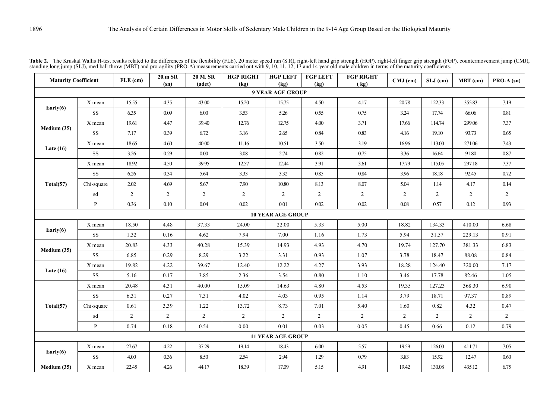| <b>Maturity Coefficient</b> |              | $FLE$ (cm)     | 20.m SR<br>(sn) | 20 M.SR<br>(adet) | <b>HGP RIGHT</b><br>(kg) | <b>HGP LEFT</b><br>(kg)  | <b>FGP LEFT</b><br>(kg) | <b>FGP RIGHT</b><br>(kg) | $CMJ$ (cm)     | SLJ (cm)       | MBT (cm)       | $PRO-A (sn)$   |
|-----------------------------|--------------|----------------|-----------------|-------------------|--------------------------|--------------------------|-------------------------|--------------------------|----------------|----------------|----------------|----------------|
| <b>9 YEAR AGE GROUP</b>     |              |                |                 |                   |                          |                          |                         |                          |                |                |                |                |
|                             | X mean       | 15.55          | 4.35            | 43.00             | 15.20                    | 15.75                    | 4.50                    | 4.17                     | 20.78          | 122.33         | 355.83         | 7.19           |
| Early(6)                    | SS           | 6.35           | 0.09            | 6.00              | 3.53                     | 5.26                     | 0.55                    | 0.75                     | 3.24           | 17.74          | 66.06          | 0.81           |
| Medium (35)                 | X mean       | 19.61          | 4.47            | 39.40             | 12.76                    | 12.75                    | 4.00                    | 3.71                     | 17.66          | 114.74         | 299.06         | 7.37           |
|                             | SS           | 7.17           | 0.39            | 6.72              | 3.16                     | 2.65                     | 0.84                    | 0.83                     | 4.16           | 19.10          | 93.73          | 0.65           |
|                             | X mean       | 18.65          | 4.60            | 40.00             | 11.16                    | 10.51                    | 3.50                    | 3.19                     | 16.96          | 113.00         | 271.06         | 7.43           |
| Late $(16)$                 | $\rm SS$     | 3.26           | 0.29            | 0.00              | 3.08                     | 2.74                     | 0.82                    | 0.75                     | 3.36           | 16.64          | 91.80          | 0.87           |
|                             | X mean       | 18.92          | 4.50            | 39.95             | 12.57                    | 12.44                    | 3.91                    | 3.61                     | 17.79          | 115.05         | 297.18         | 7.37           |
|                             | SS           | 6.26           | 0.34            | 5.64              | 3.33                     | 3.32                     | 0.85                    | 0.84                     | 3.96           | 18.18          | 92.45          | 0.72           |
| Total(57)                   | Chi-square   | 2.02           | 4.69            | 5.67              | 7.90                     | 10.80                    | 8.13                    | 8.07                     | 5.04           | 1.14           | 4.17           | 0.14           |
|                             | sd           | $\overline{2}$ | $\overline{2}$  | $\overline{2}$    | $\overline{2}$           | $\overline{2}$           | 2                       | $\overline{2}$           | $\overline{2}$ | $\overline{2}$ | 2              | $\overline{2}$ |
|                             | $\mathbf{P}$ | 0.36           | 0.10            | 0.04              | 0.02                     | 0.01                     | 0.02                    | 0.02                     | 0.08           | 0.57           | 0.12           | 0.93           |
|                             |              |                |                 |                   |                          | <b>10 YEAR AGE GROUP</b> |                         |                          |                |                |                |                |
| Early $(6)$                 | $X$ mean     | 18.50          | 4.48            | 37.33             | 24.00                    | 22.00                    | 5.33                    | 5.00                     | 18.82          | 134.33         | 410.00         | 6.68           |
|                             | SS           | 1.32           | 0.16            | 4.62              | 7.94                     | 7.00                     | 1.16                    | 1.73                     | 5.94           | 31.57          | 229.13         | 0.91           |
| Medium (35)                 | X mean       | 20.83          | 4.33            | 40.28             | 15.39                    | 14.93                    | 4.93                    | 4.70                     | 19.74          | 127.70         | 381.33         | 6.83           |
|                             | $\rm SS$     | 6.85           | 0.29            | 8.29              | 3.22                     | 3.31                     | 0.93                    | 1.07                     | 3.78           | 18.47          | 88.08          | 0.84           |
| Late $(16)$                 | X mean       | 19.82          | 4.22            | 39.67             | 12.40                    | 12.22                    | 4.27                    | 3.93                     | 18.28          | 124.40         | 320.00         | 7.17           |
|                             | SS           | 5.16           | 0.17            | 3.85              | 2.36                     | 3.54                     | 0.80                    | 1.10                     | 3.46           | 17.78          | 82.46          | 1.05           |
|                             | X mean       | 20.48          | 4.31            | 40.00             | 15.09                    | 14.63                    | 4.80                    | 4.53                     | 19.35          | 127.23         | 368.30         | 6.90           |
|                             | $\rm SS$     | 6.31           | 0.27            | 7.31              | 4.02                     | 4.03                     | 0.95                    | 1.14                     | 3.79           | 18.71          | 97.37          | 0.89           |
| Total(57)                   | Chi-square   | 0.61           | 3.39            | 1.22              | 13.72                    | 8.73                     | 7.01                    | 5.40                     | 1.60           | 0.82           | 4.32           | 0.47           |
|                             | sd           | $\overline{c}$ | 2               | $\overline{2}$    | $\overline{2}$           | $\overline{2}$           | 2                       | $\overline{2}$           | $\overline{2}$ | $\overline{2}$ | $\overline{2}$ | $\overline{2}$ |
|                             | $\mathbf{P}$ | 0.74           | 0.18            | 0.54              | 0.00                     | 0.01                     | 0.03                    | 0.05                     | 0.45           | 0.66           | 0.12           | 0.79           |
| <b>11 YEAR AGE GROUP</b>    |              |                |                 |                   |                          |                          |                         |                          |                |                |                |                |
| Early $(6)$                 | X mean       | 27.67          | 4.22            | 37.29             | 19.14                    | 18.43                    | 6.00                    | 5.57                     | 19.59          | 126.00         | 411.71         | 7.05           |
|                             | SS           | 4.00           | 0.36            | 8.50              | 2.54                     | 2.94                     | 1.29                    | 0.79                     | 3.83           | 15.92          | 12.47          | 0.60           |
| Medium (35)                 | X mean       | 22.45          | 4.26            | 44.17             | 18.39                    | 17.09                    | 5.15                    | 4.91                     | 19.42          | 130.08         | 435.12         | 6.75           |

Table 2. The Kruskal Wallis H-test results related to the differences of the flexibility (FLE), 20 meter speed run (S.R), right-left hand grip strength (HGP), right-left finger grip strength (FGP), countermovement jump (CM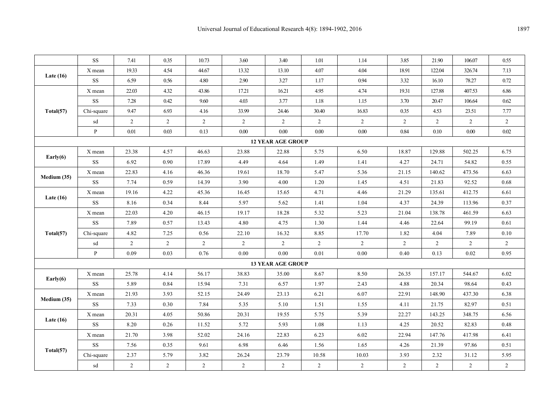|                          | $\rm SS$               | 7.41           | 0.35           | 10.73          | 3.60           | 3.40                     | 1.01           | 1.14           | 3.85           | 21.90          | 106.07         | 0.55           |
|--------------------------|------------------------|----------------|----------------|----------------|----------------|--------------------------|----------------|----------------|----------------|----------------|----------------|----------------|
| Late $(16)$              | X mean                 | 19.33          | 4.54           | 44.67          | 13.32          | 13.10                    | 4.07           | 4.04           | 18.91          | 122.04         | 326.74         | 7.13           |
|                          | $\rm SS$               | 6.59           | 0.56           | 4.80           | 2.90           | 3.27                     | 1.17           | 0.94           | 3.32           | 16.10          | 78.27          | 0.72           |
|                          | X mean                 | 22.03          | 4.32           | 43.86          | 17.21          | 16.21                    | 4.95           | 4.74           | 19.31          | 127.88         | 407.53         | 6.86           |
|                          | SS                     | 7.28           | 0.42           | 9.60           | 4.03           | 3.77                     | 1.18           | 1.15           | 3.70           | 20.47          | 106.64         | 0.62           |
| Total(57)                | Chi-square             | 9.47           | 6.93           | 4.16           | 33.99          | 24.46                    | 30.40          | 16.83          | 0.35           | 4.53           | 23.51          | 7.77           |
|                          | sd                     | $\overline{2}$ | $\overline{2}$ | $\overline{2}$ | $\overline{2}$ | $\overline{2}$           | $\overline{2}$ | $\overline{2}$ | $\overline{2}$ | $\overline{2}$ | 2              | $\overline{2}$ |
|                          | $\mathbf{P}$           | 0.01           | 0.03           | 0.13           | $0.00\,$       | 0.00                     | 0.00           | 0.00           | 0.84           | 0.10           | 0.00           | 0.02           |
| <b>12 YEAR AGE GROUP</b> |                        |                |                |                |                |                          |                |                |                |                |                |                |
|                          | X mean                 | 23.38          | 4.57           | 46.63          | 23.88          | 22.88                    | 5.75           | 6.50           | 18.87          | 129.88         | 502.25         | 6.75           |
| Early $(6)$              | $\mathbf{S}\mathbf{S}$ | 6.92           | 0.90           | 17.89          | 4.49           | 4.64                     | 1.49           | 1.41           | 4.27           | 24.71          | 54.82          | 0.55           |
| Medium (35)              | X mean                 | 22.83          | 4.16           | 46.36          | 19.61          | 18.70                    | 5.47           | 5.36           | 21.15          | 140.62         | 473.56         | 6.63           |
|                          | <b>SS</b>              | 7.74           | 0.59           | 14.39          | 3.90           | 4.00                     | 1.20           | 1.45           | 4.51           | 21.83          | 92.52          | 0.68           |
|                          | X mean                 | 19.16          | 4.22           | 45.36          | 16.45          | 15.65                    | 4.71           | 4.46           | 21.29          | 135.61         | 412.75         | 6.61           |
| Late $(16)$              | <b>SS</b>              | 8.16           | 0.34           | 8.44           | 5.97           | 5.62                     | 1.41           | 1.04           | 4.37           | 24.39          | 113.96         | 0.37           |
|                          | X mean                 | 22.03          | 4.20           | 46.15          | 19.17          | 18.28                    | 5.32           | 5.23           | 21.04          | 138.78         | 461.59         | 6.63           |
| Total(57)                | $\rm SS$               | 7.89           | 0.57           | 13.43          | 4.80           | 4.75                     | 1.30           | 1.44           | 4.46           | 22.64          | 99.19          | 0.61           |
|                          | Chi-square             | 4.82           | 7.25           | 0.56           | 22.10          | 16.32                    | 8.85           | 17.70          | 1.82           | 4.04           | 7.89           | 0.10           |
|                          | sd                     | $\overline{2}$ | $\overline{2}$ | $\overline{2}$ | $\overline{2}$ | $\overline{2}$           | $\overline{2}$ | 2              | $\overline{2}$ | $\overline{2}$ | $\overline{2}$ | $\overline{2}$ |
|                          | $\mathbf{P}$           | 0.09           | 0.03           | 0.76           | 0.00           | 0.00                     | 0.01           | 0.00           | 0.40           | 0.13           | 0.02           | 0.95           |
|                          |                        |                |                |                |                | <b>13 YEAR AGE GROUP</b> |                |                |                |                |                |                |
|                          | X mean                 | 25.78          | 4.14           | 56.17          | 38.83          | 35.00                    | 8.67           | 8.50           | 26.35          | 157.17         | 544.67         | 6.02           |
| Early $(6)$              | $\rm SS$               | 5.89           | 0.84           | 15.94          | 7.31           | 6.57                     | 1.97           | 2.43           | 4.88           | 20.34          | 98.64          | 0.43           |
|                          | X mean                 | 21.93          | 3.93           | 52.15          | 24.49          | 23.13                    | 6.21           | 6.07           | 22.91          | 148.90         | 437.30         | 6.38           |
| Medium (35)              | $\rm SS$               | 7.33           | 0.30           | 7.84           | 5.35           | 5.10                     | 1.51           | 1.55           | 4.11           | 21.75          | 82.97          | 0.51           |
| Late $(16)$              | X mean                 | 20.31          | 4.05           | 50.86          | 20.31          | 19.55                    | 5.75           | 5.39           | 22.27          | 143.25         | 348.75         | 6.56           |
|                          | $\rm SS$               | 8.20           | 0.26           | 11.52          | 5.72           | 5.93                     | 1.08           | 1.13           | 4.25           | 20.52          | 82.83          | 0.48           |
|                          | X mean                 | 21.70          | 3.98           | 52.02          | 24.16          | 22.83                    | 6.23           | 6.02           | 22.94          | 147.76         | 417.98         | 6.41           |
|                          | SS                     | 7.56           | 0.35           | 9.61           | 6.98           | 6.46                     | 1.56           | 1.65           | 4.26           | 21.39          | 97.86          | 0.51           |
| Total(57)                | Chi-square             | 2.37           | 5.79           | 3.82           | 26.24          | 23.79                    | 10.58          | 10.03          | 3.93           | 2.32           | 31.12          | 5.95           |
|                          | sd                     | $\overline{2}$ | $\overline{2}$ | $\overline{2}$ | $\overline{2}$ | $\overline{2}$           | $\overline{2}$ | 2              | $\overline{2}$ | $\overline{2}$ | $\overline{2}$ | $\overline{2}$ |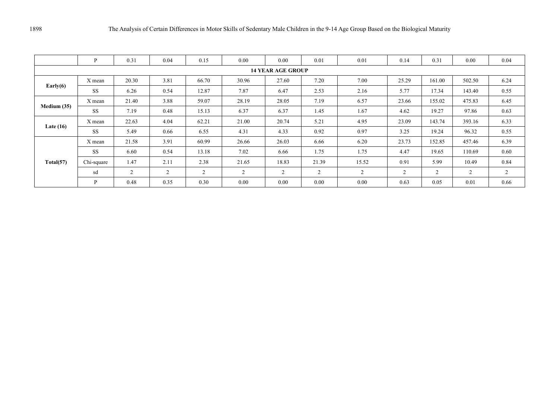|                          | P          | 0.31           | 0.04 | 0.15  | 0.00  | 0.00  | 0.01           | 0.01           | 0.14  | 0.31   | 0.00   | 0.04 |
|--------------------------|------------|----------------|------|-------|-------|-------|----------------|----------------|-------|--------|--------|------|
| <b>14 YEAR AGE GROUP</b> |            |                |      |       |       |       |                |                |       |        |        |      |
| Early $(6)$              | X mean     | 20.30          | 3.81 | 66.70 | 30.96 | 27.60 | 7.20           | 7.00           | 25.29 | 161.00 | 502.50 | 6.24 |
|                          | <b>SS</b>  | 6.26           | 0.54 | 12.87 | 7.87  | 6.47  | 2.53           | 2.16           | 5.77  | 17.34  | 143.40 | 0.55 |
| Medium (35)              | X mean     | 21.40          | 3.88 | 59.07 | 28.19 | 28.05 | 7.19           | 6.57           | 23.66 | 155.02 | 475.83 | 6.45 |
|                          | <b>SS</b>  | 7.19           | 0.48 | 15.13 | 6.37  | 6.37  | 1.45           | 1.67           | 4.62  | 19.27  | 97.86  | 0.63 |
|                          | X mean     | 22.63          | 4.04 | 62.21 | 21.00 | 20.74 | 5.21           | 4.95           | 23.09 | 143.74 | 393.16 | 6.33 |
| Late $(16)$              | <b>SS</b>  | 5.49           | 0.66 | 6.55  | 4.31  | 4.33  | 0.92           | 0.97           | 3.25  | 19.24  | 96.32  | 0.55 |
| Total(57)                | X mean     | 21.58          | 3.91 | 60.99 | 26.66 | 26.03 | 6.66           | 6.20           | 23.73 | 152.85 | 457.46 | 6.39 |
|                          | <b>SS</b>  | 6.60           | 0.54 | 13.18 | 7.02  | 6.66  | 1.75           | 1.75           | 4.47  | 19.65  | 110.69 | 0.60 |
|                          | Chi-square | 1.47           | 2.11 | 2.38  | 21.65 | 18.83 | 21.39          | 15.52          | 0.91  | 5.99   | 10.49  | 0.84 |
|                          | sd         | $\overline{2}$ | 2    | 2     | 2     | 2     | $\overline{2}$ | $\overline{2}$ | 2     | 2      | 2      | 2    |
|                          | P          | 0.48           | 0.35 | 0.30  | 0.00  | 0.00  | 0.00           | 0.00           | 0.63  | 0.05   | 0.01   | 0.66 |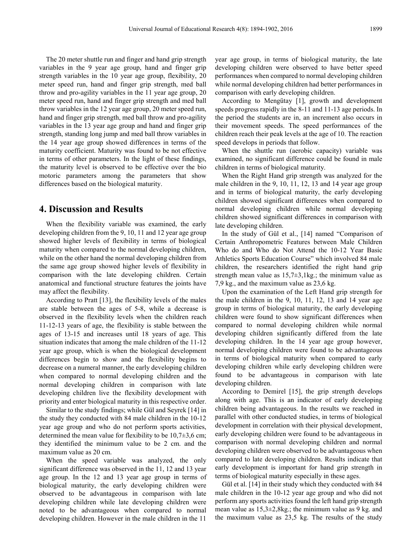The 20 meter shuttle run and finger and hand grip strength variables in the 9 year age group, hand and finger grip strength variables in the 10 year age group, flexibility, 20 meter speed run, hand and finger grip strength, med ball throw and pro-agility variables in the 11 year age group, 20 meter speed run, hand and finger grip strength and med ball throw variables in the 12 year age group, 20 meter speed run, hand and finger grip strength, med ball throw and pro-agility variables in the 13 year age group and hand and finger grip strength, standing long jump and med ball throw variables in the 14 year age group showed differences in terms of the maturity coefficient. Maturity was found to be not effective in terms of other parameters. In the light of these findings, the maturity level is observed to be effective over the bio motoric parameters among the parameters that show differences based on the biological maturity.

#### **4. Discussion and Results**

When the flexibility variable was examined, the early developing children from the 9, 10, 11 and 12 year age group showed higher levels of flexibility in terms of biological maturity when compared to the normal developing children, while on the other hand the normal developing children from the same age group showed higher levels of flexibility in comparison with the late developing children. Certain anatomical and functional structure features the joints have may affect the flexibility.

According to Pratt [13], the flexibility levels of the males are stable between the ages of 5-8, while a decrease is observed in the flexibility levels when the children reach 11-12-13 years of age, the flexibility is stable between the ages of 13-15 and increases until 18 years of age. This situation indicates that among the male children of the 11-12 year age group, which is when the biological development differences begin to show and the flexibility begins to decrease on a numeral manner, the early developing children when compared to normal developing children and the normal developing children in comparison with late developing children live the flexibility development with priority and enter biological maturity in this respective order.

Similar to the study findings; while Gül and Seyrek [14] in the study they conducted with 84 male children in the 10-12 year age group and who do not perform sports activities, determined the mean value for flexibility to be  $10,7\pm3,6$  cm; they identified the minimum value to be 2 cm. and the maximum value as 20 cm.

When the speed variable was analyzed, the only significant difference was observed in the 11, 12 and 13 year age group. In the 12 and 13 year age group in terms of biological maturity, the early developing children were observed to be advantageous in comparison with late developing children while late developing children were noted to be advantageous when compared to normal developing children. However in the male children in the 11

year age group, in terms of biological maturity, the late developing children were observed to have better speed performances when compared to normal developing children while normal developing children had better performances in comparison with early developing children.

According to Mengütay [1], growth and development speeds progress rapidly in the 8-11 and 11-13 age periods. In the period the students are in, an increment also occurs in their movement speeds. The speed performances of the children reach their peak levels at the age of 10. The reaction speed develops in periods that follow.

When the shuttle run (aerobic capacity) variable was examined, no significant difference could be found in male children in terms of biological maturity.

When the Right Hand grip strength was analyzed for the male children in the 9, 10, 11, 12, 13 and 14 year age group and in terms of biological maturity, the early developing children showed significant differences when compared to normal developing children while normal developing children showed significant differences in comparison with late developing children.

In the study of Gül et al., [14] named "Comparison of Certain Anthropometric Features between Male Children Who do and Who do Not Attend the 10-12 Year Basic Athletics Sports Education Course" which involved 84 male children, the researchers identified the right hand grip strength mean value as  $15,7\pm 3,1\,\text{kg}$ ; the minimum value as 7,9 kg., and the maximum value as 23,6 kg.

Upon the examination of the Left Hand grip strength for the male children in the 9, 10, 11, 12, 13 and 14 year age group in terms of biological maturity, the early developing children were found to show significant differences when compared to normal developing children while normal developing children significantly differed from the late developing children. In the 14 year age group however, normal developing children were found to be advantageous in terms of biological maturity when compared to early developing children while early developing children were found to be advantageous in comparison with late developing children.

According to Demirel [15], the grip strength develops along with age. This is an indicator of early developing children being advantageous. In the results we reached in parallel with other conducted studies, in terms of biological development in correlation with their physical development, early developing children were found to be advantageous in comparison with normal developing children and normal developing children were observed to be advantageous when compared to late developing children. Results indicate that early development is important for hand grip strength in terms of biological maturity especially in these ages.

Gül et al. [14] in their study which they conducted with 84 male children in the 10-12 year age group and who did not perform any sports activities found the left hand grip strength mean value as 15,3±2,8kg.; the minimum value as 9 kg. and the maximum value as 23,5 kg. The results of the study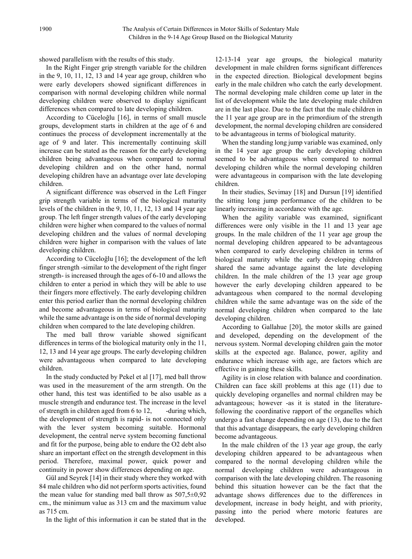showed parallelism with the results of this study.

In the Right Finger grip strength variable for the children in the 9, 10, 11, 12, 13 and 14 year age group, children who were early developers showed significant differences in comparison with normal developing children while normal developing children were observed to display significant differences when compared to late developing children.

According to Cüceloğlu [16], in terms of small muscle groups, development starts in children at the age of 6 and continues the process of development incrementally at the age of 9 and later. This incrementally continuing skill increase can be stated as the reason for the early developing children being advantageous when compared to normal developing children and on the other hand, normal developing children have an advantage over late developing children.

A significant difference was observed in the Left Finger grip strength variable in terms of the biological maturity levels of the children in the 9, 10, 11, 12, 13 and 14 year age group. The left finger strength values of the early developing children were higher when compared to the values of normal developing children and the values of normal developing children were higher in comparison with the values of late developing children.

According to Cüceloğlu [16]; the development of the left finger strength -similar to the development of the right finger strength- is increased through the ages of 6-10 and allows the children to enter a period in which they will be able to use their fingers more effectively. The early developing children enter this period earlier than the normal developing children and become advantageous in terms of biological maturity while the same advantage is on the side of normal developing children when compared to the late developing children.

The med ball throw variable showed significant differences in terms of the biological maturity only in the 11, 12, 13 and 14 year age groups. The early developing children were advantageous when compared to late developing children.

In the study conducted by Pekel et al [17], med ball throw was used in the measurement of the arm strength. On the other hand, this test was identified to be also usable as a muscle strength and endurance test. The increase in the level of strength in children aged from  $6$  to  $12$ , -during which, the development of strength is rapid- is not connected only with the lever system becoming suitable. Hormonal development, the central nerve system becoming functional and fit for the purpose, being able to endure the O2 debt also share an important effect on the strength development in this period. Therefore, maximal power, quick power and continuity in power show differences depending on age.

Gül and Seyrek [14] in their study where they worked with 84 male children who did not perform sports activities, found the mean value for standing med ball throw as  $507,5\pm0,92$ cm., the minimum value as 313 cm and the maximum value as 715 cm.

In the light of this information it can be stated that in the

12-13-14 year age groups, the biological maturity development in male children forms significant differences in the expected direction. Biological development begins early in the male children who catch the early development. The normal developing male children come up later in the list of development while the late developing male children are in the last place. Due to the fact that the male children in the 11 year age group are in the primordium of the strength development, the normal developing children are considered to be advantageous in terms of biological maturity.

When the standing long jump variable was examined, only in the 14 year age group the early developing children seemed to be advantageous when compared to normal developing children while the normal developing children were advantageous in comparison with the late developing children.

In their studies, Sevimay [18] and Dursun [19] identified the sitting long jump performance of the children to be linearly increasing in accordance with the age.

When the agility variable was examined, significant differences were only visible in the 11 and 13 year age groups. In the male children of the 11 year age group the normal developing children appeared to be advantageous when compared to early developing children in terms of biological maturity while the early developing children shared the same advantage against the late developing children. In the male children of the 13 year age group however the early developing children appeared to be advantageous when compared to the normal developing children while the same advantage was on the side of the normal developing children when compared to the late developing children.

According to Gallahue [20], the motor skills are gained and developed, depending on the development of the nervous system. Normal developing children gain the motor skills at the expected age. Balance, power, agility and endurance which increase with age, are factors which are effective in gaining these skills.

Agility is in close relation with balance and coordination. Children can face skill problems at this age (11) due to quickly developing organelles and normal children may be advantageous; however -as it is stated in the literaturefollowing the coordinative rapport of the organelles which undergo a fast change depending on age (13), due to the fact that this advantage disappears, the early developing children become advantageous.

In the male children of the 13 year age group, the early developing children appeared to be advantageous when compared to the normal developing children while the normal developing children were advantageous in comparison with the late developing children. The reasoning behind this situation however can be the fact that the advantage shows differences due to the differences in development, increase in body height, and with priority, passing into the period where motoric features are developed.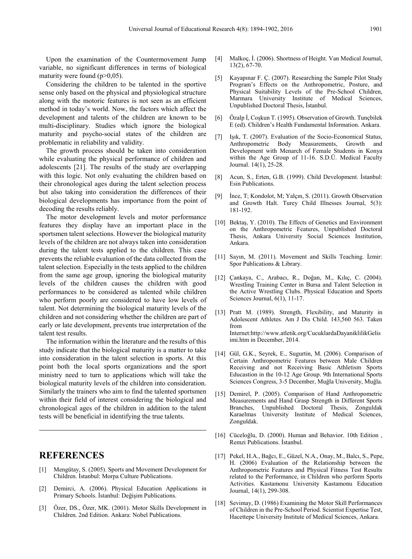Upon the examination of the Countermovement Jump variable, no significant differences in terms of biological maturity were found  $(p>0.05)$ .

Considering the children to be talented in the sportive sense only based on the physical and physiological structure along with the motoric features is not seen as an efficient method in today's world. Now, the factors which affect the development and talents of the children are known to be multi-disciplinary. Studies which ignore the biological maturity and psycho-social states of the children are problematic in reliability and validity.

The growth process should be taken into consideration while evaluating the physical performance of children and adolescents [21]. The results of the study are overlapping with this logic. Not only evaluating the children based on their chronological ages during the talent selection process but also taking into consideration the differences of their biological developments has importance from the point of decoding the results reliably.

The motor development levels and motor performance features they display have an important place in the sportsmen talent selections. However the biological maturity levels of the children are not always taken into consideration during the talent tests applied to the children. This case prevents the reliable evaluation of the data collected from the talent selection. Especially in the tests applied to the children from the same age group, ignoring the biological maturity levels of the children causes the children with good performances to be considered as talented while children who perform poorly are considered to have low levels of talent. Not determining the biological maturity levels of the children and not considering whether the children are part of early or late development, prevents true interpretation of the talent test results.

The information within the literature and the results of this study indicate that the biological maturity is a matter to take into consideration in the talent selection in sports. At this point both the local sports organizations and the sport ministry need to turn to applications which will take the biological maturity levels of the children into consideration. Similarly the trainers who aim to find the talented sportsmen within their field of interest considering the biological and chronological ages of the children in addition to the talent tests will be beneficial in identifying the true talents.

## **REFERENCES**

- [1] Mengütay, S. (2005). Sports and Movement Development for Children. İstanbul: Morpa Culture Publications.
- [2] Demirci, A. (2006). Physical Education Applications in Primary Schools. İstanbul: Değişim Publications.
- [3] Özer, DS., Özer, MK. (2001). Motor Skills Development in Children. 2nd Edition. Ankara: Nobel Publications.
- [4] Malkoç, İ. (2006). Shortness of Height. Van Medical Journal, 13(2), 67-70.
- [5] Kayapınar F. Ç. (2007). Researching the Sample Pilot Study Program's Effects on the Anthropometric, Posture, and Physical Suitability Levels of the Pre-School Children, Marmara University Institute of Medical Sciences, Unpublished Doctoral Thesis, İstanbul.
- [6] Özalp İ, Coşkun T. (1995). Observation of Growth. Tunçbilek E (ed). Children's Health Fundamental Information. Ankara.
- [7] Işık, T. (2007). Evaluation of the Socio-Economical Status, Anthropometric Body Measurements, Growth and Development with Menarch of Female Students in Konya within the Age Group of 11-16. S.D.Ü. Medical Faculty Journal. 14(1), 25-28.
- [8] Acun, S., Erten, G.B. (1999). Child Development. İstanbul: Esin Publications.
- [9] İnce, T; Kondolot, M; Yalçın, S. (2011). Growth Observation and Growth Halt. Turey Child Illnesses Journal, 5(3): 181-192.
- [10] Bektaş, Y. (2010). The Effects of Genetics and Environment on the Anthropometric Features, Unpublished Doctoral Thesis, Ankara University Social Sciences Institution, Ankara.
- [11] Sayın, M. (2011). Movement and Skills Teaching. İzmir: Spor Publications & Library.
- [12] Çankaya, C., Arabacı, R., Doğan, M., Kılıç, C. (2004). Wrestling Training Center in Bursa and Talent Selection in the Active Wrestling Clubs. Physical Education and Sports Sciences Journal, 6(1), 11-17.
- [13] Pratt M. (1989). Strength, Flexibility, and Maturity in Adolescent Athletes. Am J Dis Child. 143,560 563. Taken from Internet:http://www.atletik.org/CucuklardaDayaniklilikGelis imi.htm in December, 2014.
- [14] Gül, G.K., Seyrek, E., Sugurtin, M. (2006). Comparison of Certain Anthropometric Features between Male Children Receiving and not Receiving Basic Athletism Sports Educastion in the 10-12 Age Group. 9th International Sports Sciences Congress, 3-5 December, Muğla University, Muğla.
- [15] Demirel, P. (2005). Comparison of Hand Anthropometric Measurements and Hand Grasp Strength in Different Sports Branches, Unpublished Doctoral Thesis, Zonguldak Karaelmas University Institute of Medical Sciences, Zonguldak.
- [16] Cüceloğlu, D. (2000). Human and Behavior. 10th Edition , Remzi Publications. İstanbul.
- [17] Pekel, H.A., Bağcı, E., Güzel, N.A., Onay, M., Balcı, S., Pepe, H. (2006) Evaluation of the Relationship between the Anthropometric Features and Physical Fitness Test Results related to the Performance, in Children who perform Sports Activities. Kastamonu University Kastamonu Education Journal, 14(1), 299-308.
- [18] Sevimay, D. (1986) Examining the Motor Skill Performances of Children in the Pre-School Period. Scientist Expertise Test, Hacettepe University Institute of Medical Sciences, Ankara.